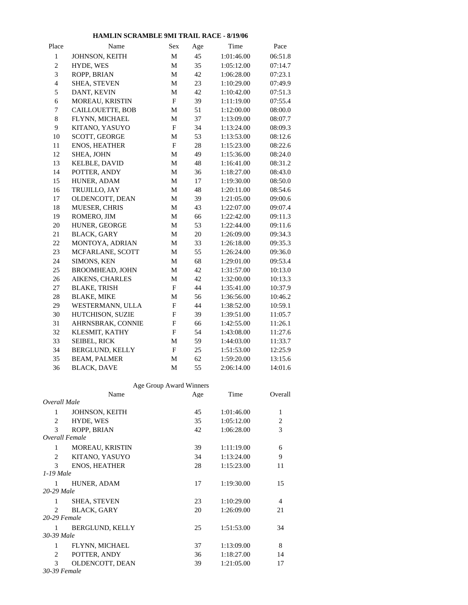## **HAMLIN SCRAMBLE 9MI TRAIL RACE - 8/19/06**

| Place                    | Name                    | Sex                       | Age | Time       | Pace    |  |
|--------------------------|-------------------------|---------------------------|-----|------------|---------|--|
| $\mathbf{1}$             | JOHNSON, KEITH          | M                         | 45  | 1:01:46.00 | 06:51.8 |  |
| $\boldsymbol{2}$         | HYDE, WES               | $\mathbf M$               | 35  | 1:05:12.00 | 07:14.7 |  |
| 3                        | ROPP, BRIAN             | M                         | 42  | 1:06:28.00 | 07:23.1 |  |
| $\overline{\mathcal{L}}$ | SHEA, STEVEN            | M                         | 23  | 1:10:29.00 | 07:49.9 |  |
| 5                        | DANT, KEVIN             | M                         | 42  | 1:10:42.00 | 07:51.3 |  |
| 6                        | MOREAU, KRISTIN         | $_{\rm F}$                | 39  | 1:11:19.00 | 07:55.4 |  |
| $\boldsymbol{7}$         | <b>CAILLOUETTE, BOB</b> | M                         | 51  | 1:12:00.00 | 08:00.0 |  |
| $\bf 8$                  | FLYNN, MICHAEL          | M                         | 37  | 1:13:09.00 | 08:07.7 |  |
| 9                        | KITANO, YASUYO          | $\boldsymbol{\mathrm{F}}$ | 34  | 1:13:24.00 | 08:09.3 |  |
| 10                       | <b>SCOTT, GEORGE</b>    | M                         | 53  | 1:13:53.00 | 08:12.6 |  |
| 11                       | ENOS, HEATHER           | $\boldsymbol{\mathrm{F}}$ | 28  | 1:15:23.00 | 08:22.6 |  |
| 12                       | SHEA, JOHN              | M                         | 49  | 1:15:36.00 | 08:24.0 |  |
| 13                       | <b>KELBLE, DAVID</b>    | M                         | 48  | 1:16:41.00 | 08:31.2 |  |
| 14                       | POTTER, ANDY            | M                         | 36  | 1:18:27.00 | 08:43.0 |  |
| 15                       | HUNER, ADAM             | M                         | 17  | 1:19:30.00 | 08:50.0 |  |
| 16                       | TRUJILLO, JAY           | M                         | 48  | 1:20:11.00 | 08:54.6 |  |
| 17                       | OLDENCOTT, DEAN         | M                         | 39  | 1:21:05.00 | 09:00.6 |  |
| 18                       | MUESER, CHRIS           | M                         | 43  | 1:22:07.00 | 09:07.4 |  |
| 19                       | ROMERO, JIM             | $\mathbf M$               | 66  | 1:22:42.00 | 09:11.3 |  |
| 20                       | HUNER, GEORGE           | M                         | 53  | 1:22:44.00 | 09:11.6 |  |
| $21\,$                   | <b>BLACK, GARY</b>      | M                         | 20  | 1:26:09.00 | 09:34.3 |  |
| $22\,$                   | MONTOYA, ADRIAN         | M                         | 33  | 1:26:18.00 | 09:35.3 |  |
| 23                       | MCFARLANE, SCOTT        | M                         | 55  | 1:26:24.00 | 09:36.0 |  |
| 24                       | SIMONS, KEN             | M                         | 68  | 1:29:01.00 | 09:53.4 |  |
| 25                       | BROOMHEAD, JOHN         | M                         | 42  | 1:31:57.00 | 10:13.0 |  |
| 26                       | AIKENS, CHARLES         | M                         | 42  | 1:32:00.00 | 10:13.3 |  |
| 27                       | <b>BLAKE, TRISH</b>     | $\boldsymbol{\mathrm{F}}$ | 44  | 1:35:41.00 | 10:37.9 |  |
| $28\,$                   | <b>BLAKE, MIKE</b>      | $\mathbf M$               | 56  | 1:36:56.00 | 10:46.2 |  |
| 29                       | WESTERMANN, ULLA        | $\mathbf F$               | 44  | 1:38:52.00 | 10:59.1 |  |
| $30\,$                   | HUTCHISON, SUZIE        | $\mathbf{F}$              | 39  | 1:39:51.00 | 11:05.7 |  |
| 31                       | AHRNSBRAK, CONNIE       | $\mathbf F$               | 66  | 1:42:55.00 | 11:26.1 |  |
| 32                       | KLESMIT, KATHY          | $\boldsymbol{\mathrm{F}}$ | 54  | 1:43:08.00 | 11:27.6 |  |
| 33                       | SEIBEL, RICK            | $\mathbf M$               | 59  | 1:44:03.00 | 11:33.7 |  |
| 34                       | BERGLUND, KELLY         | $\boldsymbol{\mathrm{F}}$ | 25  | 1:51:53.00 | 12:25.9 |  |
| 35                       | <b>BEAM, PALMER</b>     | M                         | 62  | 1:59:20.00 | 13:15.6 |  |
| 36                       | <b>BLACK, DAVE</b>      | M                         | 55  | 2:06:14.00 | 14:01.6 |  |

## Age Group Award Winners

|                | Name                   | Age | Time       | Overall |  |  |  |
|----------------|------------------------|-----|------------|---------|--|--|--|
| Overall Male   |                        |     |            |         |  |  |  |
| $\mathbf{1}$   | JOHNSON, KEITH         | 45  | 1:01:46.00 | 1       |  |  |  |
| 2              | HYDE, WES              | 35  | 1:05:12.00 | 2       |  |  |  |
| 3              | ROPP, BRIAN            | 42  | 1:06:28.00 | 3       |  |  |  |
| Overall Female |                        |     |            |         |  |  |  |
| $\mathbf{1}$   | <b>MOREAU, KRISTIN</b> | 39  | 1:11:19.00 | 6       |  |  |  |
| $\mathfrak{D}$ | KITANO, YASUYO         | 34  | 1:13:24.00 | 9       |  |  |  |
| $\mathcal{F}$  | <b>ENOS, HEATHER</b>   | 28  | 1:15:23.00 | 11      |  |  |  |
| 1-19 Male      |                        |     |            |         |  |  |  |
| 1              | HUNER, ADAM            | 17  | 1:19:30.00 | 15      |  |  |  |
| 20-29 Male     |                        |     |            |         |  |  |  |
| $\mathbf{1}$   | <b>SHEA, STEVEN</b>    | 23  | 1:10:29.00 | 4       |  |  |  |
| 2              | <b>BLACK, GARY</b>     | 20  | 1:26:09.00 | 21      |  |  |  |
| 20-29 Female   |                        |     |            |         |  |  |  |
| $\mathbf{1}$   | BERGLUND, KELLY        | 25  | 1:51:53.00 | 34      |  |  |  |
| 30-39 Male     |                        |     |            |         |  |  |  |
| $\mathbf{1}$   | FLYNN, MICHAEL         | 37  | 1:13:09.00 | 8       |  |  |  |
| 2              | POTTER, ANDY           | 36  | 1:18:27.00 | 14      |  |  |  |
| 3              | OLDENCOTT, DEAN        | 39  | 1:21:05.00 | 17      |  |  |  |
| 30-39 Female   |                        |     |            |         |  |  |  |